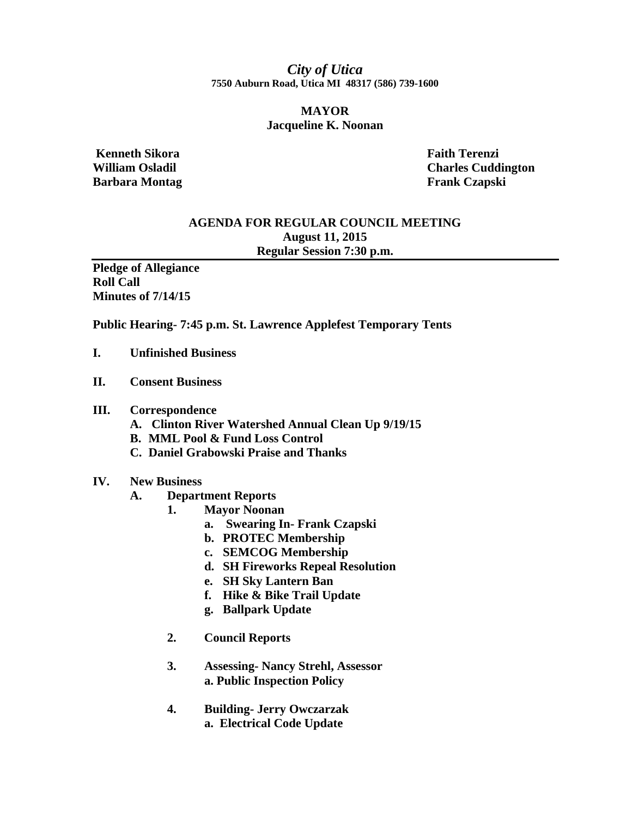*City of Utica*  **7550 Auburn Road, Utica MI 48317 (586) 739-1600** 

# **MAYOR Jacqueline K. Noonan**

 **Kenneth Sikora Faith Terenzi Barbara Montag Frank Czapski** 

**William Osladil Charles Cuddington** 

# **AGENDA FOR REGULAR COUNCIL MEETING August 11, 2015 Regular Session 7:30 p.m.**

**Pledge of Allegiance Roll Call Minutes of 7/14/15** 

**Public Hearing- 7:45 p.m. St. Lawrence Applefest Temporary Tents** 

- **I. Unfinished Business**
- **II. Consent Business**

### **III. Correspondence**

- **A. Clinton River Watershed Annual Clean Up 9/19/15**
- **B. MML Pool & Fund Loss Control**
- **C. Daniel Grabowski Praise and Thanks**

#### **IV. New Business**

- **A. Department Reports** 
	- **1. Mayor Noonan** 
		- **a. Swearing In- Frank Czapski**
		- **b. PROTEC Membership**
		- **c. SEMCOG Membership**
		- **d. SH Fireworks Repeal Resolution**
		- **e. SH Sky Lantern Ban**
		- **f. Hike & Bike Trail Update**
		- **g. Ballpark Update**
	- **2. Council Reports**
	- **3. Assessing- Nancy Strehl, Assessor a. Public Inspection Policy**
	- **4. Building- Jerry Owczarzak a. Electrical Code Update**